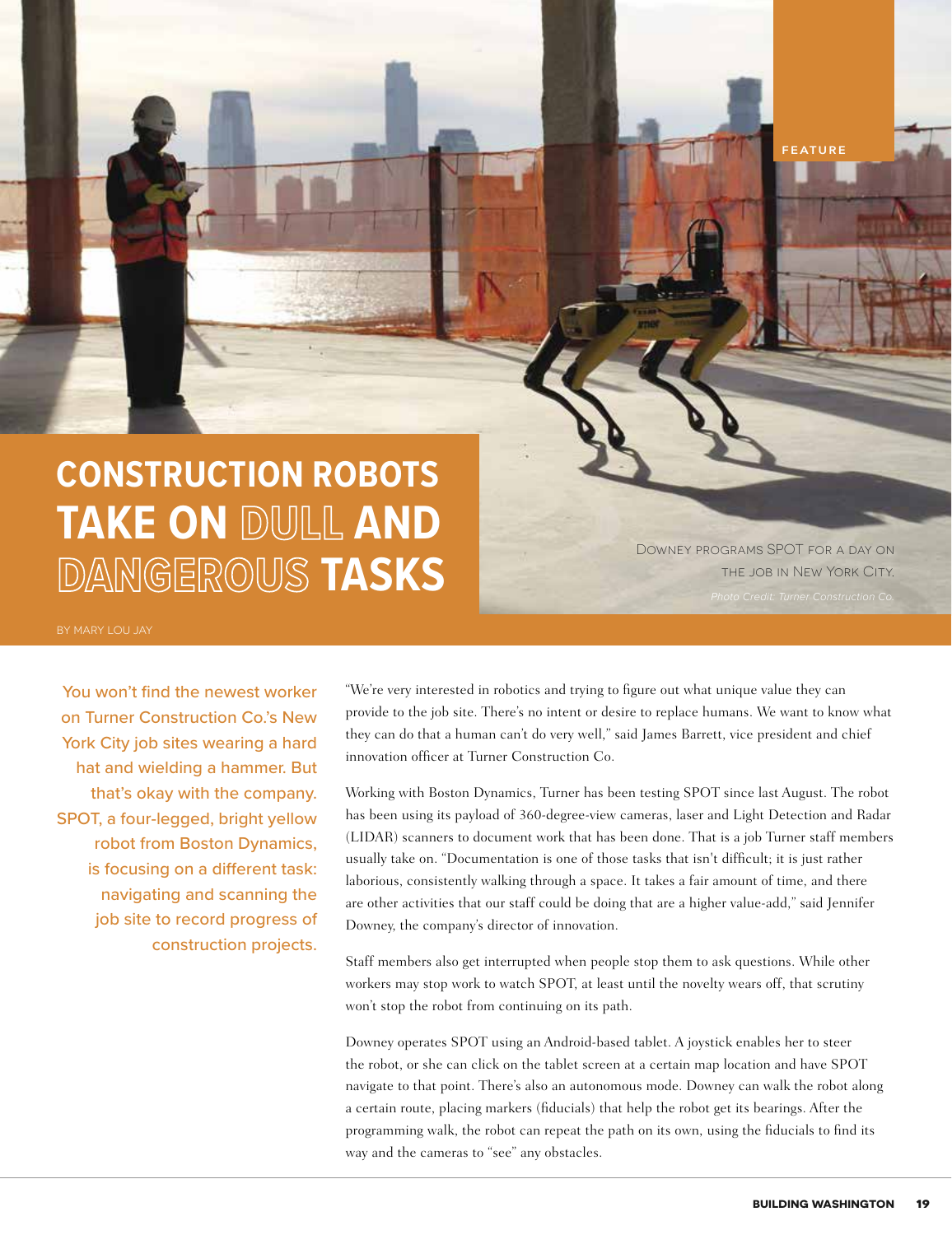

Downey programs SPOT for a day on the job in New York City.

**FEATURE**

BY MARY LOU JAY

You won't find the newest worker on Turner Construction Co.'s New York City job sites wearing a hard hat and wielding a hammer. But that's okay with the company. SPOT, a four-legged, bright yellow robot from Boston Dynamics, is focusing on a different task: navigating and scanning the job site to record progress of construction projects. "We're very interested in robotics and trying to figure out what unique value they can provide to the job site. There's no intent or desire to replace humans. We want to know what they can do that a human can't do very well," said James Barrett, vice president and chief innovation officer at Turner Construction Co.

Working with Boston Dynamics, Turner has been testing SPOT since last August. The robot has been using its payload of 360-degree-view cameras, laser and Light Detection and Radar (LIDAR) scanners to document work that has been done. That is a job Turner staff members usually take on. "Documentation is one of those tasks that isn't difficult; it is just rather laborious, consistently walking through a space. It takes a fair amount of time, and there are other activities that our staff could be doing that are a higher value-add," said Jennifer Downey, the company's director of innovation.

Staff members also get interrupted when people stop them to ask questions. While other workers may stop work to watch SPOT, at least until the novelty wears off, that scrutiny won't stop the robot from continuing on its path.

Downey operates SPOT using an Android-based tablet. A joystick enables her to steer the robot, or she can click on the tablet screen at a certain map location and have SPOT navigate to that point. There's also an autonomous mode. Downey can walk the robot along a certain route, placing markers (fiducials) that help the robot get its bearings. After the programming walk, the robot can repeat the path on its own, using the fiducials to find its way and the cameras to "see" any obstacles.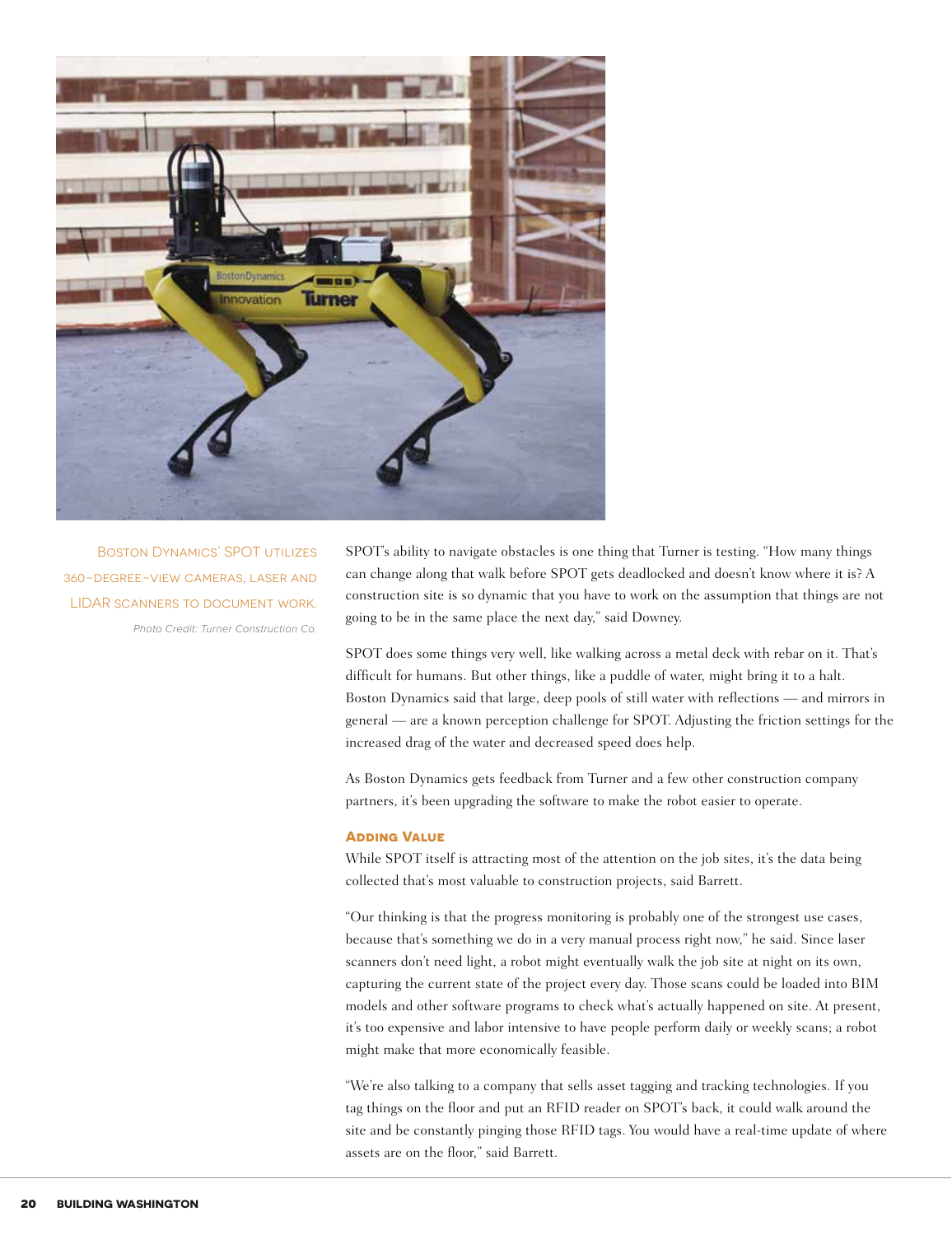

*Photo Credit: Turner Construction Co.* Boston Dynamics' SPOT utilizes 360-degree-view cameras, laser and LIDAR scanners to document work.

SPOT's ability to navigate obstacles is one thing that Turner is testing. "How many things can change along that walk before SPOT gets deadlocked and doesn't know where it is? A construction site is so dynamic that you have to work on the assumption that things are not going to be in the same place the next day," said Downey.

SPOT does some things very well, like walking across a metal deck with rebar on it. That's difficult for humans. But other things, like a puddle of water, might bring it to a halt. Boston Dynamics said that large, deep pools of still water with reflections — and mirrors in general — are a known perception challenge for SPOT. Adjusting the friction settings for the increased drag of the water and decreased speed does help.

As Boston Dynamics gets feedback from Turner and a few other construction company partners, it's been upgrading the software to make the robot easier to operate.

## **Adding Value**

While SPOT itself is attracting most of the attention on the job sites, it's the data being collected that's most valuable to construction projects, said Barrett.

"Our thinking is that the progress monitoring is probably one of the strongest use cases, because that's something we do in a very manual process right now," he said. Since laser scanners don't need light, a robot might eventually walk the job site at night on its own, capturing the current state of the project every day. Those scans could be loaded into BIM models and other software programs to check what's actually happened on site. At present, it's too expensive and labor intensive to have people perform daily or weekly scans; a robot might make that more economically feasible.

"We're also talking to a company that sells asset tagging and tracking technologies. If you tag things on the floor and put an RFID reader on SPOT's back, it could walk around the site and be constantly pinging those RFID tags. You would have a real-time update of where assets are on the floor," said Barrett.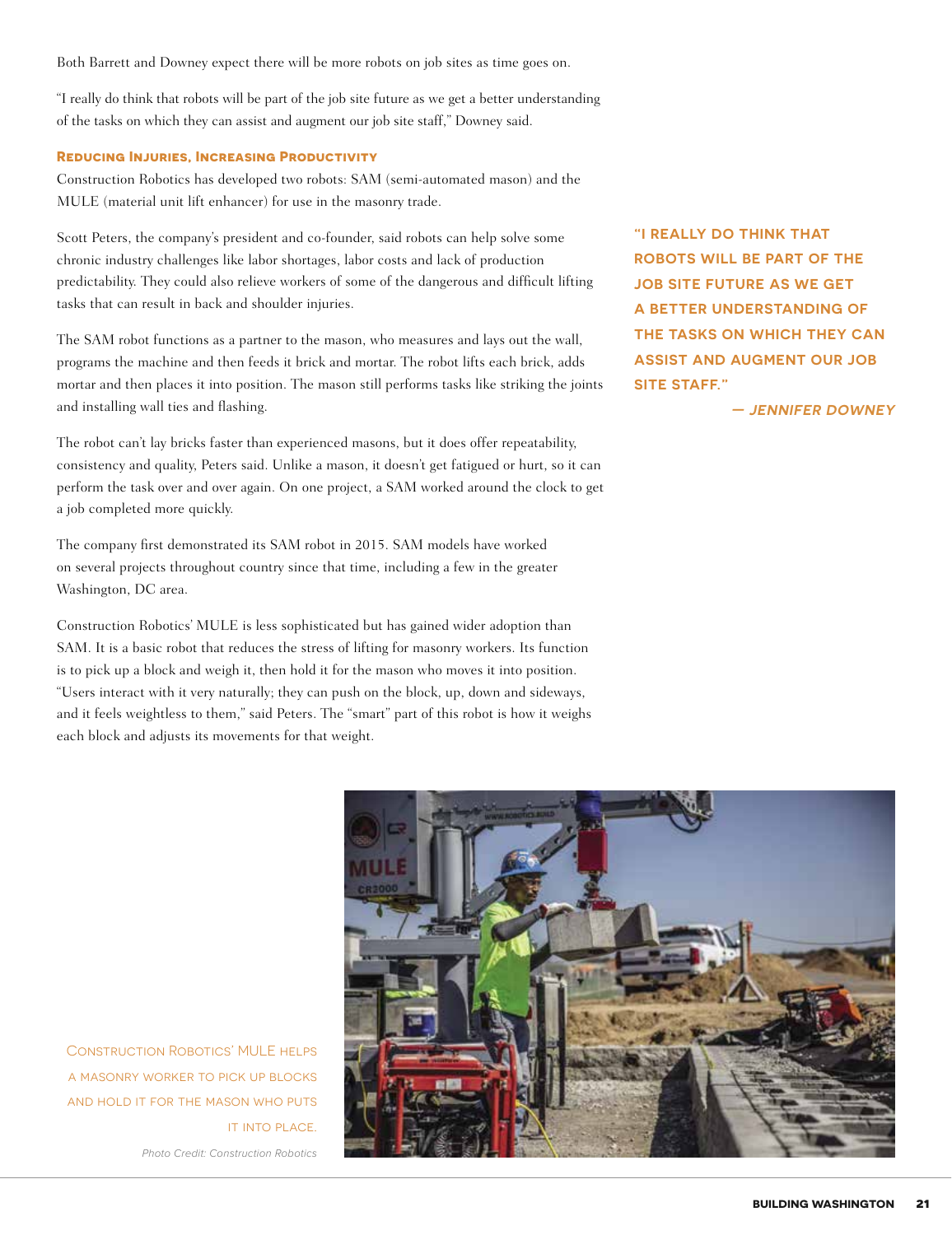Both Barrett and Downey expect there will be more robots on job sites as time goes on.

"I really do think that robots will be part of the job site future as we get a better understanding of the tasks on which they can assist and augment our job site staff," Downey said.

## **Reducing Injuries, Increasing Productivity**

Construction Robotics has developed two robots: SAM (semi-automated mason) and the MULE (material unit lift enhancer) for use in the masonry trade.

Scott Peters, the company's president and co-founder, said robots can help solve some chronic industry challenges like labor shortages, labor costs and lack of production predictability. They could also relieve workers of some of the dangerous and difficult lifting tasks that can result in back and shoulder injuries.

The SAM robot functions as a partner to the mason, who measures and lays out the wall, programs the machine and then feeds it brick and mortar. The robot lifts each brick, adds mortar and then places it into position. The mason still performs tasks like striking the joints and installing wall ties and flashing.

The robot can't lay bricks faster than experienced masons, but it does offer repeatability, consistency and quality, Peters said. Unlike a mason, it doesn't get fatigued or hurt, so it can perform the task over and over again. On one project, a SAM worked around the clock to get a job completed more quickly.

The company first demonstrated its SAM robot in 2015. SAM models have worked on several projects throughout country since that time, including a few in the greater Washington, DC area.

Construction Robotics' MULE is less sophisticated but has gained wider adoption than SAM. It is a basic robot that reduces the stress of lifting for masonry workers. Its function is to pick up a block and weigh it, then hold it for the mason who moves it into position. "Users interact with it very naturally; they can push on the block, up, down and sideways, and it feels weightless to them," said Peters. The "smart" part of this robot is how it weighs each block and adjusts its movements for that weight.

**"I REALLY DO THINK THAT ROBOTS WILL BE PART OF THE JOB SITE FUTURE AS WE GET A BETTER UNDERSTANDING OF THE TASKS ON WHICH THEY CAN ASSIST AND AUGMENT OUR JOB SITE STAFF."**

**— JENNIFER DOWNEY**



Construction Robotics' MULE helps a masonry worker to pick up blocks and hold it for the mason who puts **IT INTO PLACE.** 

*Photo Credit: Construction Robotics*